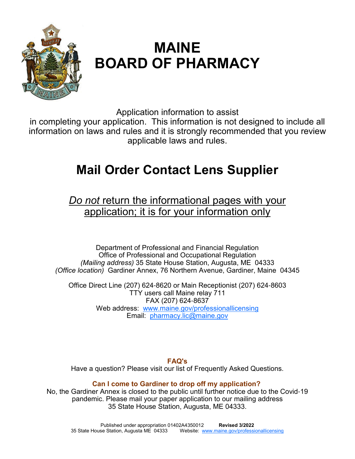

# **MAINE BOARD OF PHARMACY**

Application information to assist

in completing your application. This information is not designed to include all information on laws and rules and it is strongly recommended that you review applicable laws and rules.

# **Mail Order Contact Lens Supplier**

*Do not* return the informational pages with your application; it is for your information only

Department of Professional and Financial Regulation Office of Professional and Occupational Regulation *(Mailing address)* 35 State House Station, Augusta, ME 04333 *(Office location)* Gardiner Annex, 76 Northern Avenue, Gardiner, Maine 04345

Office Direct Line (207) 624-8620 or Main Receptionist (207) 624-8603 TTY users call Maine relay 711 FAX (207) 624-8637 Web address: www.maine.gov/professionallicensing Email: pharmacy.lic@maine.gov

**FAQ's** 

Have a question? Please visit our list of Frequently Asked Questions.

# **Can I come to Gardiner to drop off my application?**

No, the Gardiner Annex is closed to the public until further notice due to the Covid-19 pandemic. Please mail your paper application to our mailing address 35 State House Station, Augusta, ME 04333.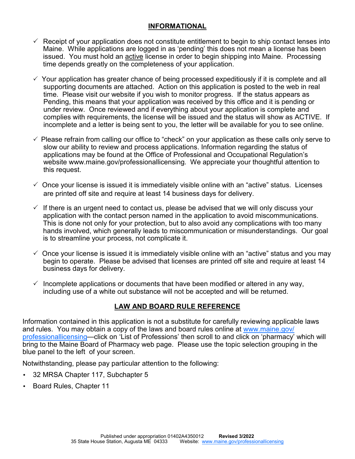## **INFORMATIONAL**

- $\checkmark$  Receipt of your application does not constitute entitlement to begin to ship contact lenses into Maine. While applications are logged in as 'pending' this does not mean a license has been issued. You must hold an active license in order to begin shipping into Maine. Processing time depends greatly on the completeness of your application.
- $\checkmark$  Your application has greater chance of being processed expeditiously if it is complete and all supporting documents are attached. Action on this application is posted to the web in real time. Please visit our website if you wish to monitor progress. If the status appears as Pending, this means that your application was received by this office and it is pending or under review. Once reviewed and if everything about your application is complete and complies with requirements, the license will be issued and the status will show as ACTIVE. If incomplete and a letter is being sent to you, the letter will be available for you to see online.
- $\checkmark$  Please refrain from calling our office to "check" on your application as these calls only serve to slow our ability to review and process applications. Information regarding the status of applications may be found at the Office of Professional and Occupational Regulation's website www.maine.gov/professionallicensing. We appreciate your thoughtful attention to this request.
- $\checkmark$  Once your license is issued it is immediately visible online with an "active" status. Licenses are printed off site and require at least 14 business days for delivery.
- $\checkmark$  If there is an urgent need to contact us, please be advised that we will only discuss your application with the contact person named in the application to avoid miscommunications. This is done not only for your protection, but to also avoid any complications with too many hands involved, which generally leads to miscommunication or misunderstandings. Our goal is to streamline your process, not complicate it.
- $\check{\phantom{\phi}}$  Once your license is issued it is immediately visible online with an "active" status and you may begin to operate. Please be advised that licenses are printed off site and require at least 14 business days for delivery.
- $\checkmark$  Incomplete applications or documents that have been modified or altered in any way, including use of a white out substance will not be accepted and will be returned.

# **LAW AND BOARD RULE REFERENCE**

Information contained in this application is not a substitute for carefully reviewing applicable laws and rules. You may obtain a copy of the laws and board rules online at www.maine.gov/ professionallicensing—click on 'List of Professions' then scroll to and click on 'pharmacy' which will bring to the Maine Board of Pharmacy web page. Please use the topic selection grouping in the blue panel to the left of your screen.

Notwithstanding, please pay particular attention to the following:

- 32 MRSA Chapter 117, Subchapter 5
- Board Rules, Chapter 11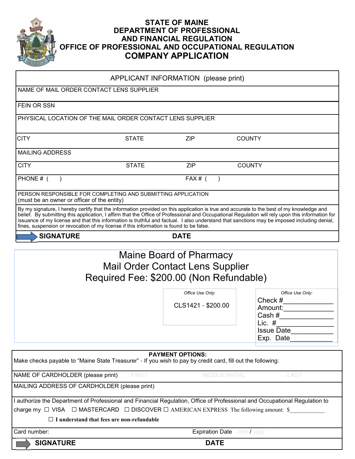

# **STATE OF MAINE DEPARTMENT OF PROFESSIONAL AND FINANCIAL REGULATION OFFICE OF PROFESSIONAL AND OCCUPATIONAL REGULATION COMPANY APPLICATION**

|                                                                                                             |                                                  | APPLICANT INFORMATION (please print)                                                                          |                                                                                                                                                                                                                                                                                                                                                                                                                                             |
|-------------------------------------------------------------------------------------------------------------|--------------------------------------------------|---------------------------------------------------------------------------------------------------------------|---------------------------------------------------------------------------------------------------------------------------------------------------------------------------------------------------------------------------------------------------------------------------------------------------------------------------------------------------------------------------------------------------------------------------------------------|
| NAME OF MAIL ORDER CONTACT LENS SUPPLIER                                                                    |                                                  |                                                                                                               |                                                                                                                                                                                                                                                                                                                                                                                                                                             |
| FEIN OR SSN                                                                                                 |                                                  |                                                                                                               |                                                                                                                                                                                                                                                                                                                                                                                                                                             |
| PHYSICAL LOCATION OF THE MAIL ORDER CONTACT LENS SUPPLIER                                                   |                                                  |                                                                                                               |                                                                                                                                                                                                                                                                                                                                                                                                                                             |
| <b>CITY</b>                                                                                                 | <b>STATE</b>                                     | <b>ZIP</b>                                                                                                    | <b>COUNTY</b>                                                                                                                                                                                                                                                                                                                                                                                                                               |
| <b>MAILING ADDRESS</b>                                                                                      |                                                  |                                                                                                               |                                                                                                                                                                                                                                                                                                                                                                                                                                             |
| <b>CITY</b>                                                                                                 | <b>STATE</b>                                     | <b>ZIP</b>                                                                                                    | <b>COUNTY</b>                                                                                                                                                                                                                                                                                                                                                                                                                               |
| PHONE # (                                                                                                   |                                                  | FAX# $($                                                                                                      |                                                                                                                                                                                                                                                                                                                                                                                                                                             |
| PERSON RESPONSIBLE FOR COMPLETING AND SUBMITTING APPLICATION<br>(must be an owner or officer of the entity) |                                                  |                                                                                                               |                                                                                                                                                                                                                                                                                                                                                                                                                                             |
| fines, suspension or revocation of my license if this information is found to be false.                     |                                                  |                                                                                                               | By my signature, I hereby certify that the information provided on this application is true and accurate to the best of my knowledge and<br>belief. By submitting this application, I affirm that the Office of Professional and Occupational Regulation will rely upon this information for<br>issuance of my license and that this information is truthful and factual. I also understand that sanctions may be imposed including denial, |
| <b>SIGNATURE</b>                                                                                            |                                                  | <b>DATE</b>                                                                                                   |                                                                                                                                                                                                                                                                                                                                                                                                                                             |
|                                                                                                             |                                                  | Maine Board of Pharmacy<br><b>Mail Order Contact Lens Supplier</b><br>Required Fee: \$200.00 (Non Refundable) |                                                                                                                                                                                                                                                                                                                                                                                                                                             |
|                                                                                                             |                                                  | Office Use Only:                                                                                              | Office Use Only:                                                                                                                                                                                                                                                                                                                                                                                                                            |
|                                                                                                             |                                                  | CLS1421 - \$200.00                                                                                            | Check $#$<br>Amount:<br>Cash #<br>Lic. $#$<br><b>Issue Date</b>                                                                                                                                                                                                                                                                                                                                                                             |
|                                                                                                             |                                                  |                                                                                                               | Exp. Date                                                                                                                                                                                                                                                                                                                                                                                                                                   |
| Make checks payable to "Maine State Treasurer" - If you wish to pay by credit card, fill out the following: |                                                  | <b>PAYMENT OPTIONS:</b>                                                                                       |                                                                                                                                                                                                                                                                                                                                                                                                                                             |
| NAME OF CARDHOLDER (please print)                                                                           | <b>FIRST</b>                                     | <b>MIDDLE INITIAL</b>                                                                                         | <b>LAST</b>                                                                                                                                                                                                                                                                                                                                                                                                                                 |
| MAILING ADDRESS OF CARDHOLDER (please print)                                                                |                                                  |                                                                                                               |                                                                                                                                                                                                                                                                                                                                                                                                                                             |
| charge my $\Box$ VISA $\Box$ MASTERCARD $\Box$ DISCOVER $\Box$ AMERICAN EXPRESS The following amount: \$    |                                                  |                                                                                                               | I authorize the Department of Professional and Financial Regulation, Office of Professional and Occupational Regulation to                                                                                                                                                                                                                                                                                                                  |
|                                                                                                             | $\Box$ I understand that fees are non-refundable |                                                                                                               |                                                                                                                                                                                                                                                                                                                                                                                                                                             |
| Card number:                                                                                                |                                                  | <b>Expiration Date</b> mm / yyyy                                                                              |                                                                                                                                                                                                                                                                                                                                                                                                                                             |

 **SIGNATURE****DATE**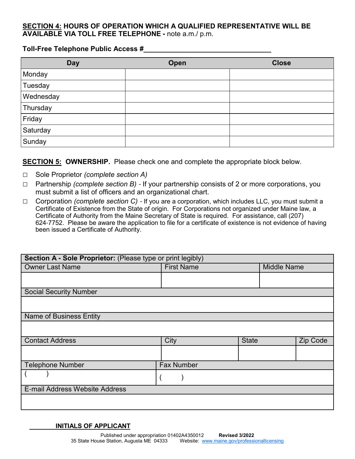### **SECTION 4: HOURS OF OPERATION WHICH A QUALIFIED REPRESENTATIVE WILL BE AVAILABLE VIA TOLL FREE TELEPHONE -** note a.m./ p.m.

#### **Toll-Free Telephone Public Access #\_\_\_\_\_\_\_\_\_\_\_\_\_\_\_\_\_\_\_\_\_\_\_\_\_\_\_\_\_\_\_\_\_**

| <b>Day</b> | Open | <b>Close</b> |
|------------|------|--------------|
| Monday     |      |              |
| Tuesday    |      |              |
| Wednesday  |      |              |
| Thursday   |      |              |
| Friday     |      |              |
| Saturday   |      |              |
| Sunday     |      |              |

## **SECTION 5: OWNERSHIP.** Please check one and complete the appropriate block below.

- □ Sole Proprietor *(complete section A)*
- □ Partnership *(complete section B)*  If your partnership consists of 2 or more corporations, you must submit a list of officers and an organizational chart.
- □ Corporation *(complete section C)*  If you are a corporation, which includes LLC, you must submit a Certificate of Existence from the State of origin. For Corporations not organized under Maine law, a Certificate of Authority from the Maine Secretary of State is required. For assistance, call (207) 624-7752. Please be aware the application to file for a certificate of existence is not evidence of having been issued a Certificate of Authority.

| Section A - Sole Proprietor: (Please type or print legibly) |                   |              |                    |          |  |  |  |
|-------------------------------------------------------------|-------------------|--------------|--------------------|----------|--|--|--|
| <b>Owner Last Name</b>                                      | <b>First Name</b> |              | <b>Middle Name</b> |          |  |  |  |
|                                                             |                   |              |                    |          |  |  |  |
|                                                             |                   |              |                    |          |  |  |  |
| <b>Social Security Number</b>                               |                   |              |                    |          |  |  |  |
|                                                             |                   |              |                    |          |  |  |  |
| <b>Name of Business Entity</b>                              |                   |              |                    |          |  |  |  |
|                                                             |                   |              |                    |          |  |  |  |
| <b>Contact Address</b>                                      | City              | <b>State</b> |                    | Zip Code |  |  |  |
|                                                             |                   |              |                    |          |  |  |  |
| <b>Telephone Number</b>                                     | <b>Fax Number</b> |              |                    |          |  |  |  |
|                                                             |                   |              |                    |          |  |  |  |
| E-mail Address Website Address                              |                   |              |                    |          |  |  |  |
|                                                             |                   |              |                    |          |  |  |  |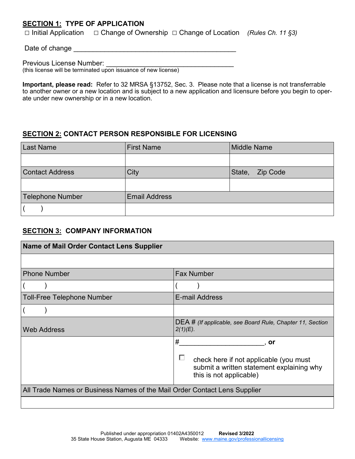# **SECTION 1: TYPE OF APPLICATION**

□ Initial Application □ Change of Ownership □ Change of Location *(Rules Ch. 11 §3)*

Date of change \_\_\_\_\_\_\_\_\_\_\_\_\_\_\_\_\_\_\_\_\_\_\_\_\_\_\_\_\_\_\_\_\_\_\_\_\_\_\_\_\_\_

Previous License Number:

(this license will be terminated upon issuance of new license)

**Important, please read:** Refer to 32 MRSA §13752, Sec. 3. Please note that a license is not transferrable to another owner or a new location and is subject to a new application and licensure before you begin to operate under new ownership or in a new location.

## **SECTION 2: CONTACT PERSON RESPONSIBLE FOR LICENSING**

| <b>Last Name</b>       | <b>First Name</b>    | <b>Middle Name</b> |
|------------------------|----------------------|--------------------|
|                        |                      |                    |
| <b>Contact Address</b> | City                 | State,<br>Zip Code |
|                        |                      |                    |
| Telephone Number       | <b>Email Address</b> |                    |
|                        |                      |                    |

# **SECTION 3: COMPANY INFORMATION**

| <b>Name of Mail Order Contact Lens Supplier</b>                           |                                                                                                                     |  |  |
|---------------------------------------------------------------------------|---------------------------------------------------------------------------------------------------------------------|--|--|
|                                                                           |                                                                                                                     |  |  |
| <b>Phone Number</b>                                                       | <b>Fax Number</b>                                                                                                   |  |  |
|                                                                           |                                                                                                                     |  |  |
| <b>Toll-Free Telephone Number</b>                                         | E-mail Address                                                                                                      |  |  |
|                                                                           |                                                                                                                     |  |  |
| <b>Web Address</b>                                                        | DEA # (If applicable, see Board Rule, Chapter 11, Section<br>$2(1)(E)$ .                                            |  |  |
|                                                                           | #<br>.or                                                                                                            |  |  |
|                                                                           | Е<br>check here if not applicable (you must<br>submit a written statement explaining why<br>this is not applicable) |  |  |
| All Trade Names or Business Names of the Mail Order Contact Lens Supplier |                                                                                                                     |  |  |
|                                                                           |                                                                                                                     |  |  |

a l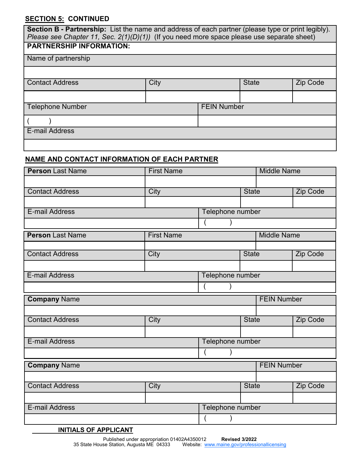# **SECTION 5: CONTINUED**

| Section B - Partnership: List the name and address of each partner (please type or print legibly).<br>Please see Chapter 11, Sec. $2(1)(D)(1)$ (If you need more space please use separate sheet) |                    |  |              |                 |  |  |
|---------------------------------------------------------------------------------------------------------------------------------------------------------------------------------------------------|--------------------|--|--------------|-----------------|--|--|
| <b>PARTNERSHIP INFORMATION:</b>                                                                                                                                                                   |                    |  |              |                 |  |  |
| Name of partnership                                                                                                                                                                               |                    |  |              |                 |  |  |
|                                                                                                                                                                                                   |                    |  |              |                 |  |  |
| <b>Contact Address</b>                                                                                                                                                                            | City               |  | <b>State</b> | <b>Zip Code</b> |  |  |
|                                                                                                                                                                                                   |                    |  |              |                 |  |  |
| <b>Telephone Number</b>                                                                                                                                                                           | <b>FEIN Number</b> |  |              |                 |  |  |
|                                                                                                                                                                                                   |                    |  |              |                 |  |  |
| <b>E-mail Address</b>                                                                                                                                                                             |                    |  |              |                 |  |  |
|                                                                                                                                                                                                   |                    |  |              |                 |  |  |

# **NAME AND CONTACT INFORMATION OF EACH PARTNER**

| <b>Person Last Name</b> | <b>First Name</b> |                  |              | <b>Middle Name</b> |          |  |
|-------------------------|-------------------|------------------|--------------|--------------------|----------|--|
|                         |                   |                  |              |                    |          |  |
| <b>Contact Address</b>  | City              |                  | <b>State</b> |                    | Zip Code |  |
|                         |                   |                  |              |                    |          |  |
| E-mail Address          |                   | Telephone number |              |                    |          |  |
|                         |                   |                  |              |                    |          |  |
| <b>Person Last Name</b> | <b>First Name</b> |                  |              | <b>Middle Name</b> |          |  |
|                         |                   |                  |              |                    |          |  |
| <b>Contact Address</b>  | City              |                  | <b>State</b> |                    | Zip Code |  |
|                         |                   |                  |              |                    |          |  |
| <b>E-mail Address</b>   |                   | Telephone number |              |                    |          |  |
|                         |                   |                  |              |                    |          |  |
| <b>Company Name</b>     |                   |                  |              | <b>FEIN Number</b> |          |  |
|                         |                   |                  |              |                    |          |  |
| <b>Contact Address</b>  | City              |                  | <b>State</b> |                    | Zip Code |  |
|                         |                   |                  |              |                    |          |  |
| <b>E-mail Address</b>   |                   | Telephone number |              |                    |          |  |
|                         |                   |                  |              |                    |          |  |
| <b>Company Name</b>     |                   |                  |              | <b>FEIN Number</b> |          |  |
|                         |                   |                  |              |                    |          |  |
| <b>Contact Address</b>  | City              |                  | <b>State</b> |                    | Zip Code |  |
|                         |                   |                  |              |                    |          |  |
| <b>E-mail Address</b>   |                   | Telephone number |              |                    |          |  |
|                         |                   |                  |              |                    |          |  |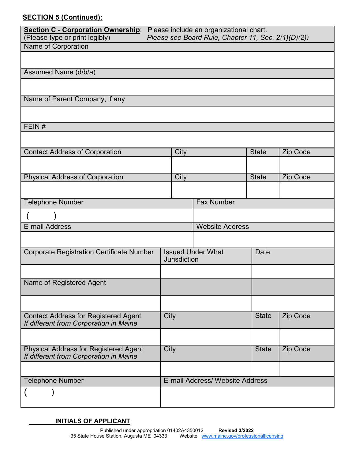# **SECTION 5 (Continued):**

| (Please type or print legibly)                                                         | Section C - Corporation Ownership: Please include an organizational chart.<br>Please see Board Rule, Chapter 11, Sec. 2(1)(D)(2)) |                     |                                 |                 |          |
|----------------------------------------------------------------------------------------|-----------------------------------------------------------------------------------------------------------------------------------|---------------------|---------------------------------|-----------------|----------|
| Name of Corporation                                                                    |                                                                                                                                   |                     |                                 |                 |          |
|                                                                                        |                                                                                                                                   |                     |                                 |                 |          |
| Assumed Name (d/b/a)                                                                   |                                                                                                                                   |                     |                                 |                 |          |
|                                                                                        |                                                                                                                                   |                     |                                 |                 |          |
|                                                                                        |                                                                                                                                   |                     |                                 |                 |          |
| Name of Parent Company, if any                                                         |                                                                                                                                   |                     |                                 |                 |          |
|                                                                                        |                                                                                                                                   |                     |                                 |                 |          |
| FEIN#                                                                                  |                                                                                                                                   |                     |                                 |                 |          |
|                                                                                        |                                                                                                                                   |                     |                                 |                 |          |
| <b>Contact Address of Corporation</b>                                                  |                                                                                                                                   | City                |                                 | <b>State</b>    | Zip Code |
|                                                                                        |                                                                                                                                   |                     |                                 |                 |          |
| <b>Physical Address of Corporation</b>                                                 |                                                                                                                                   | City                |                                 | <b>State</b>    | Zip Code |
|                                                                                        |                                                                                                                                   |                     |                                 |                 |          |
| <b>Telephone Number</b>                                                                |                                                                                                                                   |                     | <b>Fax Number</b>               |                 |          |
|                                                                                        |                                                                                                                                   |                     |                                 |                 |          |
|                                                                                        |                                                                                                                                   |                     |                                 |                 |          |
| <b>E-mail Address</b>                                                                  |                                                                                                                                   |                     | <b>Website Address</b>          |                 |          |
|                                                                                        |                                                                                                                                   |                     |                                 |                 |          |
| <b>Corporate Registration Certificate Number</b>                                       |                                                                                                                                   | <b>Jurisdiction</b> | <b>Issued Under What</b>        | <b>Date</b>     |          |
|                                                                                        |                                                                                                                                   |                     |                                 |                 |          |
| Name of Registered Agent                                                               |                                                                                                                                   |                     |                                 |                 |          |
|                                                                                        |                                                                                                                                   |                     |                                 |                 |          |
|                                                                                        |                                                                                                                                   |                     |                                 |                 |          |
| <b>Contact Address for Registered Agent</b><br>If different from Corporation in Maine  | City                                                                                                                              |                     | <b>State</b>                    | <b>Zip Code</b> |          |
|                                                                                        |                                                                                                                                   |                     |                                 |                 |          |
| <b>Physical Address for Registered Agent</b><br>If different from Corporation in Maine | City                                                                                                                              |                     |                                 | <b>State</b>    | Zip Code |
|                                                                                        |                                                                                                                                   |                     |                                 |                 |          |
| <b>Telephone Number</b>                                                                |                                                                                                                                   |                     | E-mail Address/ Website Address |                 |          |
|                                                                                        |                                                                                                                                   |                     |                                 |                 |          |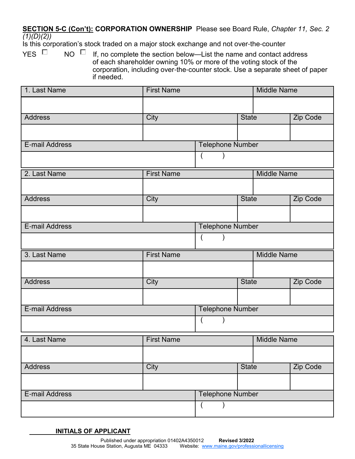## **SECTION 5-C (Con't): CORPORATION OWNERSHIP** Please see Board Rule, *Chapter 11, Sec. 2 (1)(D)(2))*

Is this corporation's stock traded on a major stock exchange and not over-the-counter

YES  $\Box$  NO  $\Box$  If, no complete the section below—List the name and contact address of each shareholder owning 10% or more of the voting stock of the corporation, including over-the-counter stock. Use a separate sheet of paper if needed.

| 1. Last Name   | <b>First Name</b> |                         |              | <b>Middle Name</b> |                 |  |
|----------------|-------------------|-------------------------|--------------|--------------------|-----------------|--|
|                |                   |                         |              |                    |                 |  |
| <b>Address</b> | City              |                         | <b>State</b> |                    | Zip Code        |  |
|                |                   |                         |              |                    |                 |  |
| E-mail Address |                   | <b>Telephone Number</b> |              |                    |                 |  |
|                |                   | $\overline{(}$          |              |                    |                 |  |
| 2. Last Name   | <b>First Name</b> |                         |              | <b>Middle Name</b> |                 |  |
|                |                   |                         |              |                    |                 |  |
| <b>Address</b> | City              |                         | <b>State</b> |                    | <b>Zip Code</b> |  |
|                |                   |                         |              |                    |                 |  |
| E-mail Address |                   | <b>Telephone Number</b> |              |                    |                 |  |
|                |                   | $\overline{ }$          |              |                    |                 |  |
|                |                   |                         |              |                    |                 |  |
| 3. Last Name   | <b>First Name</b> |                         |              | <b>Middle Name</b> |                 |  |
|                |                   |                         |              |                    |                 |  |
| <b>Address</b> | <b>City</b>       |                         | <b>State</b> |                    | Zip Code        |  |
|                |                   |                         |              |                    |                 |  |
| E-mail Address |                   | <b>Telephone Number</b> |              |                    |                 |  |
|                |                   | $\left($<br>)           |              |                    |                 |  |
| 4. Last Name   | <b>First Name</b> |                         |              | <b>Middle Name</b> |                 |  |
|                |                   |                         |              |                    |                 |  |
| <b>Address</b> | City              |                         | <b>State</b> |                    | Zip Code        |  |
|                |                   |                         |              |                    |                 |  |
| E-mail Address |                   | <b>Telephone Number</b> |              |                    |                 |  |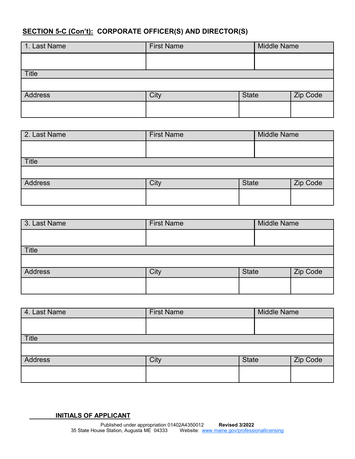# **SECTION 5-C (Con't): CORPORATE OFFICER(S) AND DIRECTOR(S)**

| 1. Last Name | <b>First Name</b> | <b>Middle Name</b> |          |
|--------------|-------------------|--------------------|----------|
|              |                   |                    |          |
| Title        |                   |                    |          |
|              |                   |                    |          |
| Address      | City              | <b>State</b>       | Zip Code |
|              |                   |                    |          |

| 2. Last Name | <b>First Name</b> | <b>Middle Name</b> |          |
|--------------|-------------------|--------------------|----------|
|              |                   |                    |          |
| <b>Title</b> |                   |                    |          |
|              |                   |                    |          |
| Address      | City              | <b>State</b>       | Zip Code |
|              |                   |                    |          |
|              |                   |                    |          |

| 3. Last Name   | <b>First Name</b> |              | <b>Middle Name</b> |          |
|----------------|-------------------|--------------|--------------------|----------|
|                |                   |              |                    |          |
| <b>Title</b>   |                   |              |                    |          |
|                |                   |              |                    |          |
| <b>Address</b> | City              | <b>State</b> |                    | Zip Code |
|                |                   |              |                    |          |
|                |                   |              |                    |          |

| 4. Last Name   | <b>First Name</b> | <b>Middle Name</b> |  |          |
|----------------|-------------------|--------------------|--|----------|
|                |                   |                    |  |          |
| <b>Title</b>   |                   |                    |  |          |
|                |                   |                    |  |          |
| <b>Address</b> | City              | <b>State</b>       |  | Zip Code |
|                |                   |                    |  |          |
|                |                   |                    |  |          |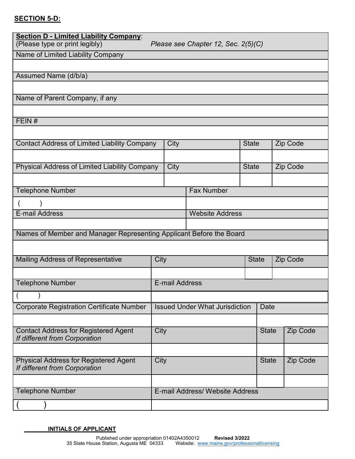# **SECTION 5-D:**

| <b>Section D - Limited Liability Company:</b><br>(Please type or print legibly)<br>Please see Chapter 12, Sec. 2(5)(C) |                                       |                       |                                 |              |              |                 |          |
|------------------------------------------------------------------------------------------------------------------------|---------------------------------------|-----------------------|---------------------------------|--------------|--------------|-----------------|----------|
| Name of Limited Liability Company                                                                                      |                                       |                       |                                 |              |              |                 |          |
|                                                                                                                        |                                       |                       |                                 |              |              |                 |          |
| Assumed Name (d/b/a)                                                                                                   |                                       |                       |                                 |              |              |                 |          |
|                                                                                                                        |                                       |                       |                                 |              |              |                 |          |
| Name of Parent Company, if any                                                                                         |                                       |                       |                                 |              |              |                 |          |
|                                                                                                                        |                                       |                       |                                 |              |              |                 |          |
| FEIN#                                                                                                                  |                                       |                       |                                 |              |              |                 |          |
|                                                                                                                        |                                       |                       |                                 |              |              |                 |          |
| <b>Contact Address of Limited Liability Company</b>                                                                    |                                       | City                  |                                 | <b>State</b> |              | Zip Code        |          |
|                                                                                                                        |                                       |                       |                                 |              |              |                 |          |
| Physical Address of Limited Liability Company                                                                          |                                       | City                  |                                 | <b>State</b> |              | <b>Zip Code</b> |          |
|                                                                                                                        |                                       |                       |                                 |              |              |                 |          |
| <b>Telephone Number</b>                                                                                                |                                       |                       | <b>Fax Number</b>               |              |              |                 |          |
|                                                                                                                        |                                       |                       |                                 |              |              |                 |          |
| <b>E-mail Address</b>                                                                                                  |                                       |                       | <b>Website Address</b>          |              |              |                 |          |
|                                                                                                                        |                                       |                       |                                 |              |              |                 |          |
| Names of Member and Manager Representing Applicant Before the Board                                                    |                                       |                       |                                 |              |              |                 |          |
|                                                                                                                        |                                       |                       |                                 |              |              |                 |          |
| Mailing Address of Representative                                                                                      | City                                  |                       | <b>State</b>                    |              |              | Zip Code        |          |
|                                                                                                                        |                                       |                       |                                 |              |              |                 |          |
| <b>Telephone Number</b>                                                                                                |                                       | <b>E-mail Address</b> |                                 |              |              |                 |          |
|                                                                                                                        |                                       |                       |                                 |              |              |                 |          |
| <b>Corporate Registration Certificate Number</b>                                                                       | <b>Issued Under What Jurisdiction</b> |                       |                                 |              | Date         |                 |          |
|                                                                                                                        |                                       |                       |                                 |              |              |                 |          |
| <b>Contact Address for Registered Agent</b><br>If different from Corporation                                           | City                                  |                       |                                 |              | <b>State</b> |                 | Zip Code |
|                                                                                                                        |                                       |                       |                                 |              |              |                 |          |
| <b>Physical Address for Registered Agent</b><br>If different from Corporation                                          | City                                  |                       |                                 | <b>State</b> |              | Zip Code        |          |
|                                                                                                                        |                                       |                       |                                 |              |              |                 |          |
| <b>Telephone Number</b>                                                                                                |                                       |                       | E-mail Address/ Website Address |              |              |                 |          |
|                                                                                                                        |                                       |                       |                                 |              |              |                 |          |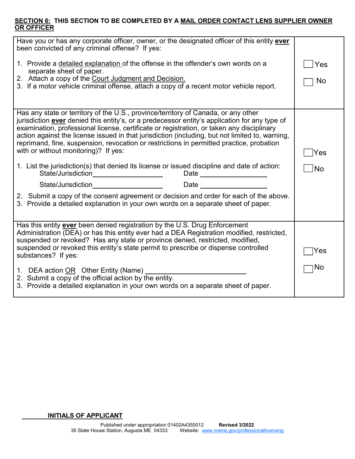#### **SECTION 6: THIS SECTION TO BE COMPLETED BY A MAIL ORDER CONTACT LENS SUPPLIER OWNER OR OFFICER**

| Have you or has any corporate officer, owner, or the designated officer of this entity ever<br>been convicted of any criminal offense? If yes:                                                                                                                                                                                                                                                                                                                                                                          |     |  |  |
|-------------------------------------------------------------------------------------------------------------------------------------------------------------------------------------------------------------------------------------------------------------------------------------------------------------------------------------------------------------------------------------------------------------------------------------------------------------------------------------------------------------------------|-----|--|--|
| 1. Provide a detailed explanation of the offense in the offender's own words on a<br>separate sheet of paper.                                                                                                                                                                                                                                                                                                                                                                                                           | Yes |  |  |
| 2. Attach a copy of the Court Judgment and Decision.<br>3. If a motor vehicle criminal offense, attach a copy of a recent motor vehicle report.                                                                                                                                                                                                                                                                                                                                                                         |     |  |  |
|                                                                                                                                                                                                                                                                                                                                                                                                                                                                                                                         |     |  |  |
| Has any state or territory of the U.S., province/territory of Canada, or any other<br>jurisdiction ever denied this entity's, or a predecessor entity's application for any type of<br>examination, professional license, certificate or registration, or taken any disciplinary<br>action against the license issued in that jurisdiction (including, but not limited to, warning,<br>reprimand, fine, suspension, revocation or restrictions in permitted practice, probation<br>with or without monitoring)? If yes: |     |  |  |
| 1. List the jurisdiction(s) that denied its license or issued discipline and date of action:<br>Date and the contract of the contract of the contract of the contract of the contract of the contract of the contract of the contract of the contract of the contract of the contract of the contract of the contract of the c                                                                                                                                                                                          |     |  |  |
| $\frac{1}{\sqrt{1-\frac{1}{2}}}\left( \frac{1}{\sqrt{1-\frac{1}{2}}}\right)$<br>Date and the state of the state of the state of the state of the state of the state of the state of the state                                                                                                                                                                                                                                                                                                                           |     |  |  |
| 2. Submit a copy of the consent agreement or decision and order for each of the above.<br>3. Provide a detailed explanation in your own words on a separate sheet of paper.                                                                                                                                                                                                                                                                                                                                             |     |  |  |
| Has this entity ever been denied registration by the U.S. Drug Enforcement<br>Administration (DEA) or has this entity ever had a DEA Registration modified, restricted,<br>suspended or revoked? Has any state or province denied, restricted, modified,<br>suspended or revoked this entity's state permit to prescribe or dispense controlled<br>substances? If yes:                                                                                                                                                  | Yes |  |  |
| 1. DEA action OR Other Entity (Name)<br>2. Submit a copy of the official action by the entity.<br>3. Provide a detailed explanation in your own words on a separate sheet of paper.                                                                                                                                                                                                                                                                                                                                     | No  |  |  |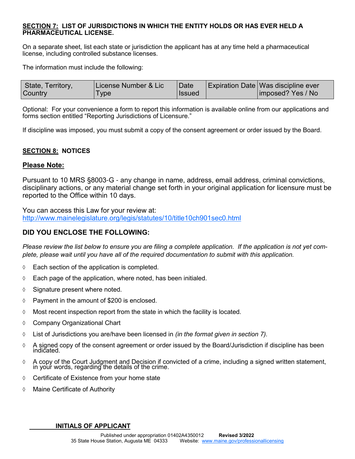#### **SECTION 7: LIST OF JURISDICTIONS IN WHICH THE ENTITY HOLDS OR HAS EVER HELD A PHARMACEUTICAL LICENSE.**

On a separate sheet, list each state or jurisdiction the applicant has at any time held a pharmaceutical license, including controlled substance licenses.

The information must include the following:

| State, Territory, | License Number & Lic | <b>Date</b>     | Expiration Date Was discipline ever |
|-------------------|----------------------|-----------------|-------------------------------------|
| <b>Country</b>    | Type                 | <b>i</b> lssued | imposed? Yes / No                   |

Optional: For your convenience a form to report this information is available online from our applications and forms section entitled "Reporting Jurisdictions of Licensure."

If discipline was imposed, you must submit a copy of the consent agreement or order issued by the Board.

#### **SECTION 8: NOTICES**

#### **Please Note:**

Pursuant to 10 MRS §8003-G - any change in name, address, email address, criminal convictions, disciplinary actions, or any material change set forth in your original application for licensure must be reported to the Office within 10 days.

You can access this Law for your review at: http://www.mainelegislature.org/legis/statutes/10/title10ch901sec0.html

#### **DID YOU ENCLOSE THE FOLLOWING:**

*Please review the list below to ensure you are filing a complete application. If the application is not yet complete, please wait until you have all of the required documentation to submit with this application.*

- $\Diamond$  Each section of the application is completed.
- $\Diamond$  Each page of the application, where noted, has been initialed.
- $\Diamond$  Signature present where noted.
- $\Diamond$  Payment in the amount of \$200 is enclosed.
- $\Diamond$  Most recent inspection report from the state in which the facility is located.
- Company Organizational Chart
- List of Jurisdictions you are/have been licensed in *(in the format given in section 7).*
- $\Diamond$  A signed copy of the consent agreement or order issued by the Board/Jurisdiction if discipline has been indicated.
- A copy of the Court Judgment and Decision if convicted of a crime, including a signed written statement, in your words, regarding the details of the crime.
- $\Diamond$  Certificate of Existence from your home state
- Maine Certificate of Authority